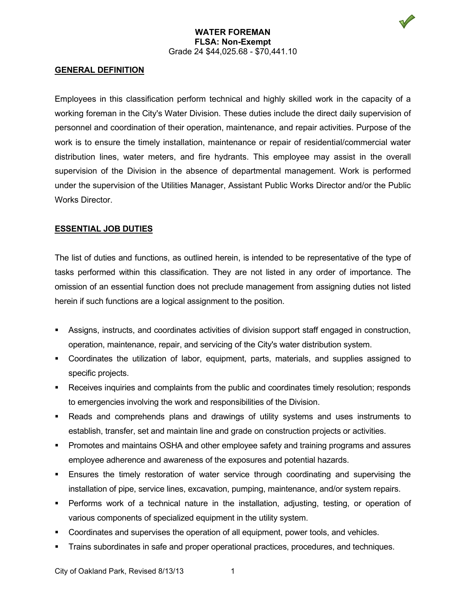#### **GENERAL DEFINITION**

Employees in this classification perform technical and highly skilled work in the capacity of a working foreman in the City's Water Division. These duties include the direct daily supervision of personnel and coordination of their operation, maintenance, and repair activities. Purpose of the work is to ensure the timely installation, maintenance or repair of residential/commercial water distribution lines, water meters, and fire hydrants. This employee may assist in the overall supervision of the Division in the absence of departmental management. Work is performed under the supervision of the Utilities Manager, Assistant Public Works Director and/or the Public Works Director.

### **ESSENTIAL JOB DUTIES**

The list of duties and functions, as outlined herein, is intended to be representative of the type of tasks performed within this classification. They are not listed in any order of importance. The omission of an essential function does not preclude management from assigning duties not listed herein if such functions are a logical assignment to the position.

- Assigns, instructs, and coordinates activities of division support staff engaged in construction, operation, maintenance, repair, and servicing of the City's water distribution system.
- Coordinates the utilization of labor, equipment, parts, materials, and supplies assigned to specific projects.
- Receives inquiries and complaints from the public and coordinates timely resolution; responds to emergencies involving the work and responsibilities of the Division.
- Reads and comprehends plans and drawings of utility systems and uses instruments to establish, transfer, set and maintain line and grade on construction projects or activities.
- Promotes and maintains OSHA and other employee safety and training programs and assures employee adherence and awareness of the exposures and potential hazards.
- Ensures the timely restoration of water service through coordinating and supervising the installation of pipe, service lines, excavation, pumping, maintenance, and/or system repairs.
- Performs work of a technical nature in the installation, adjusting, testing, or operation of various components of specialized equipment in the utility system.
- Coordinates and supervises the operation of all equipment, power tools, and vehicles.
- Trains subordinates in safe and proper operational practices, procedures, and techniques.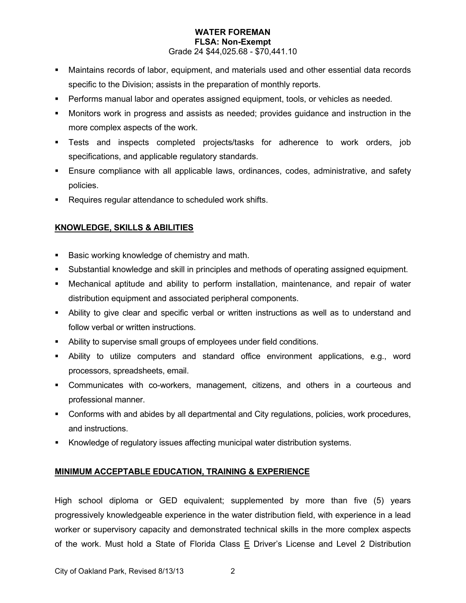- Maintains records of labor, equipment, and materials used and other essential data records specific to the Division; assists in the preparation of monthly reports.
- Performs manual labor and operates assigned equipment, tools, or vehicles as needed.
- Monitors work in progress and assists as needed; provides guidance and instruction in the more complex aspects of the work.
- Tests and inspects completed projects/tasks for adherence to work orders, job specifications, and applicable regulatory standards.
- Ensure compliance with all applicable laws, ordinances, codes, administrative, and safety policies.
- Requires regular attendance to scheduled work shifts.

# **KNOWLEDGE, SKILLS & ABILITIES**

- Basic working knowledge of chemistry and math.
- Substantial knowledge and skill in principles and methods of operating assigned equipment.
- Mechanical aptitude and ability to perform installation, maintenance, and repair of water distribution equipment and associated peripheral components.
- Ability to give clear and specific verbal or written instructions as well as to understand and follow verbal or written instructions.
- Ability to supervise small groups of employees under field conditions.
- Ability to utilize computers and standard office environment applications, e.g., word processors, spreadsheets, email.
- Communicates with co-workers, management, citizens, and others in a courteous and professional manner.
- Conforms with and abides by all departmental and City regulations, policies, work procedures, and instructions.
- Knowledge of regulatory issues affecting municipal water distribution systems.

## **MINIMUM ACCEPTABLE EDUCATION, TRAINING & EXPERIENCE**

High school diploma or GED equivalent; supplemented by more than five (5) years progressively knowledgeable experience in the water distribution field, with experience in a lead worker or supervisory capacity and demonstrated technical skills in the more complex aspects of the work. Must hold a State of Florida Class  $E$  Driver's License and Level 2 Distribution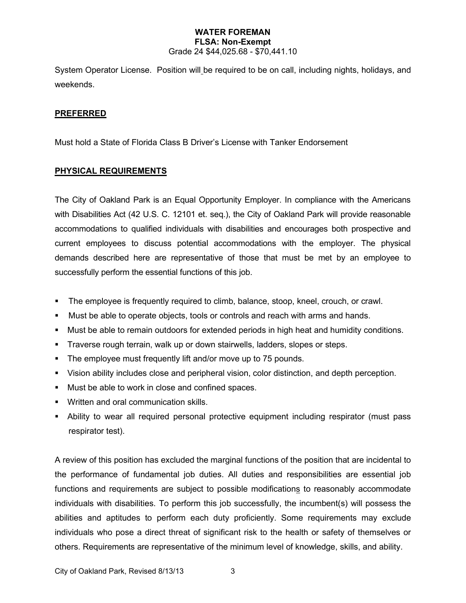System Operator License. Position will be required to be on call, including nights, holidays, and weekends.

#### **PREFERRED**

Must hold a State of Florida Class B Driver's License with Tanker Endorsement

## **PHYSICAL REQUIREMENTS**

The City of Oakland Park is an Equal Opportunity Employer. In compliance with the Americans with Disabilities Act (42 U.S. C. 12101 et. seq.), the City of Oakland Park will provide reasonable accommodations to qualified individuals with disabilities and encourages both prospective and current employees to discuss potential accommodations with the employer. The physical demands described here are representative of those that must be met by an employee to successfully perform the essential functions of this job.

- **The employee is frequently required to climb, balance, stoop, kneel, crouch, or crawl.**
- Must be able to operate objects, tools or controls and reach with arms and hands.
- Must be able to remain outdoors for extended periods in high heat and humidity conditions.
- Traverse rough terrain, walk up or down stairwells, ladders, slopes or steps.
- **The employee must frequently lift and/or move up to 75 pounds.**
- **Vision ability includes close and peripheral vision, color distinction, and depth perception.**
- **Must be able to work in close and confined spaces.**
- **Written and oral communication skills.**
- Ability to wear all required personal protective equipment including respirator (must pass respirator test).

A review of this position has excluded the marginal functions of the position that are incidental to the performance of fundamental job duties. All duties and responsibilities are essential job functions and requirements are subject to possible modifications to reasonably accommodate individuals with disabilities. To perform this job successfully, the incumbent(s) will possess the abilities and aptitudes to perform each duty proficiently. Some requirements may exclude individuals who pose a direct threat of significant risk to the health or safety of themselves or others. Requirements are representative of the minimum level of knowledge, skills, and ability.